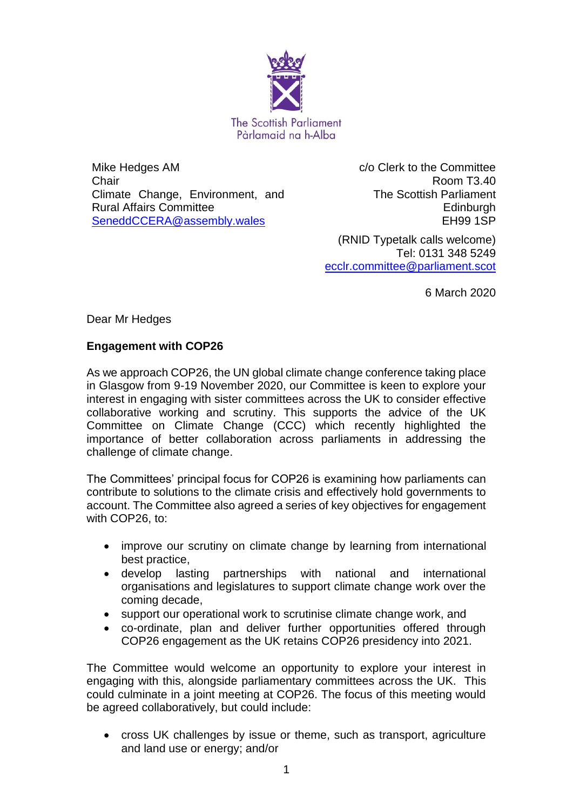

Mike Hedges AM **Chair** Climate Change, Environment, and Rural Affairs Committee [SeneddCCERA@assembly.wales](mailto:SeneddCCERA@assembly.wales)

c/o Clerk to the Committee Room T3.40 The Scottish Parliament **Edinburgh** EH99 1SP

(RNID Typetalk calls welcome) Tel: 0131 348 5249 [ecclr.committee@parliament.scot](mailto:emma.johnston@parliament.scot)

6 March 2020

Dear Mr Hedges

## **Engagement with COP26**

As we approach COP26, the UN global climate change conference taking place in Glasgow from 9-19 November 2020, our Committee is keen to explore your interest in engaging with sister committees across the UK to consider effective collaborative working and scrutiny. This supports the advice of the UK Committee on Climate Change (CCC) which recently highlighted the importance of better collaboration across parliaments in addressing the challenge of climate change.

The Committees' principal focus for COP26 is examining how parliaments can contribute to solutions to the climate crisis and effectively hold governments to account. The Committee also agreed a series of key objectives for engagement with COP26, to:

- improve our scrutiny on climate change by learning from international best practice,
- develop lasting partnerships with national and international organisations and legislatures to support climate change work over the coming decade,
- support our operational work to scrutinise climate change work, and
- co-ordinate, plan and deliver further opportunities offered through COP26 engagement as the UK retains COP26 presidency into 2021.

The Committee would welcome an opportunity to explore your interest in engaging with this, alongside parliamentary committees across the UK. This could culminate in a joint meeting at COP26. The focus of this meeting would be agreed collaboratively, but could include:

 cross UK challenges by issue or theme, such as transport, agriculture and land use or energy; and/or